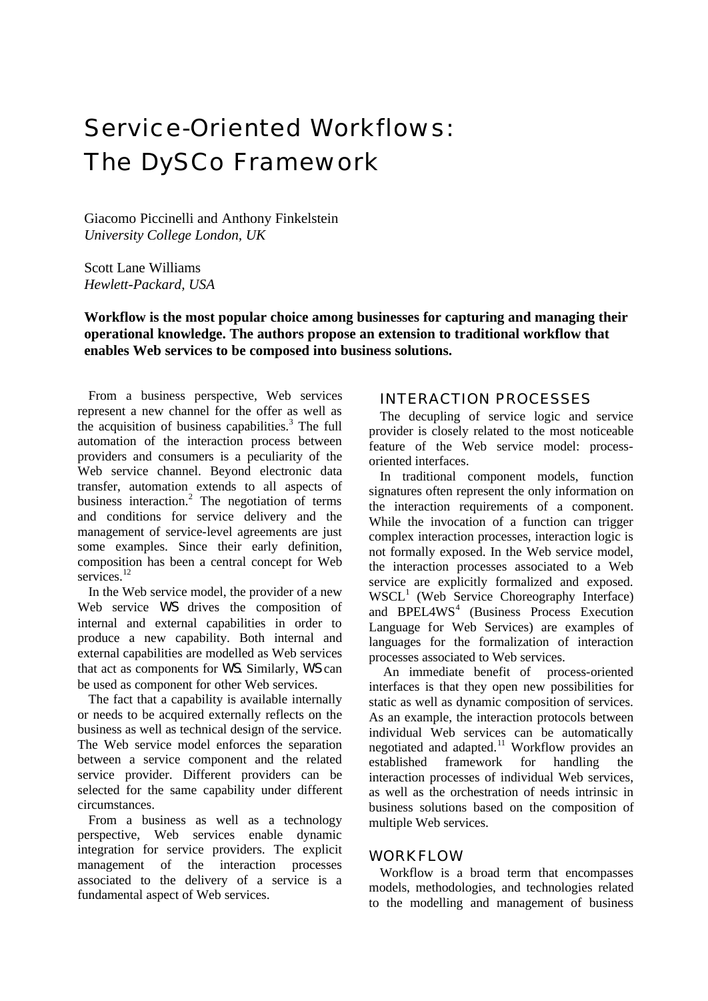# Service-Oriented Workflows: The DySCo Framework

Giacomo Piccinelli and Anthony Finkelstein *University College London, UK*

Scott Lane Williams *Hewlett-Packard, USA*

**Workflow is the most popular choice among businesses for capturing and managing their operational knowledge. The authors propose an extension to traditional workflow that enables Web services to be composed into business solutions.**

From a business perspective, Web services represent a new channel for the offer as well as the acquisition of business capabilities.<sup>3</sup> The full automation of the interaction process between providers and consumers is a peculiarity of the Web service channel. Beyond electronic data transfer, automation extends to all aspects of business interaction.<sup>2</sup> The negotiation of terms and conditions for service delivery and the management of service-level agreements are just some examples. Since their early definition, composition has been a central concept for Web services.<sup>12</sup>

In the Web service model, the provider of a new Web service *WS* drives the composition of internal and external capabilities in order to produce a new capability. Both internal and external capabilities are modelled as Web services that act as components for *WS*. Similarly, *WS* can be used as component for other Web services.

The fact that a capability is available internally or needs to be acquired externally reflects on the business as well as technical design of the service. The Web service model enforces the separation between a service component and the related service provider. Different providers can be selected for the same capability under different circumstances.

From a business as well as a technology perspective, Web services enable dynamic integration for service providers. The explicit management of the interaction processes associated to the delivery of a service is a fundamental aspect of Web services.

## INTERACTION PROCESSES

The decupling of service logic and service provider is closely related to the most noticeable feature of the Web service model: processoriented interfaces.

In traditional component models, function signatures often represent the only information on the interaction requirements of a component. While the invocation of a function can trigger complex interaction processes, interaction logic is not formally exposed. In the Web service model, the interaction processes associated to a Web service are explicitly formalized and exposed. WSCL<sup>1</sup> (Web Service Choreography Interface) and BPEL4WS<sup>4</sup> (Business Process Execution Language for Web Services) are examples of languages for the formalization of interaction processes associated to Web services.

An immediate benefit of process-oriented interfaces is that they open new possibilities for static as well as dynamic composition of services. As an example, the interaction protocols between individual Web services can be automatically negotiated and adapted.<sup>11</sup> Workflow provides an established framework for handling the interaction processes of individual Web services, as well as the orchestration of needs intrinsic in business solutions based on the composition of multiple Web services.

#### WORKFLOW

Workflow is a broad term that encompasses models, methodologies, and technologies related to the modelling and management of business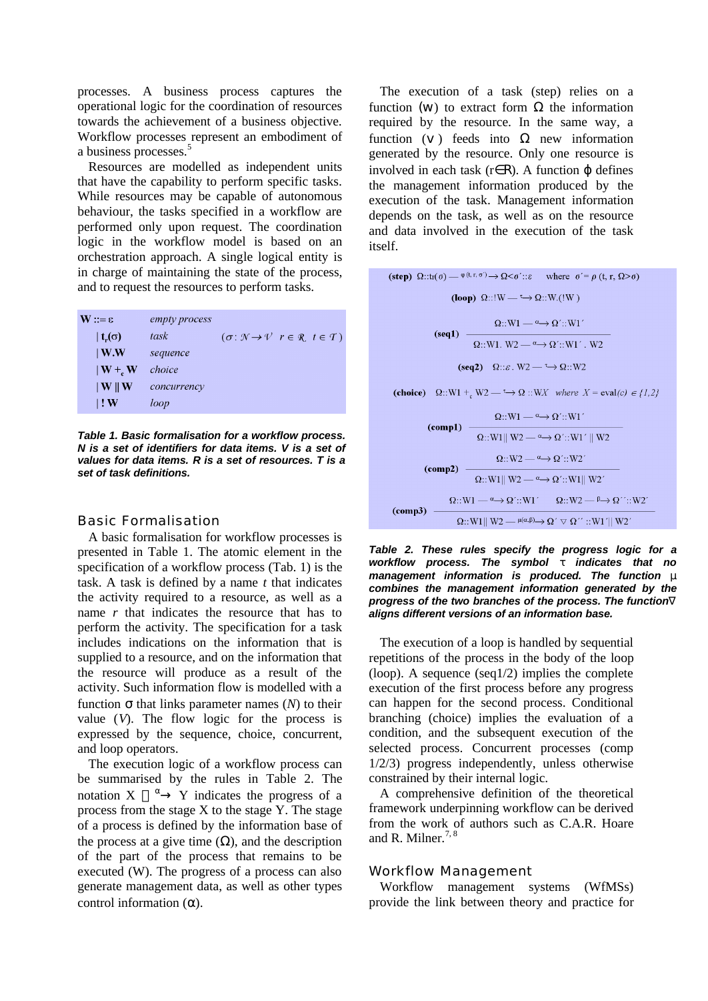processes. A business process captures the operational logic for the coordination of resources towards the achievement of a business objective. Workflow processes represent an embodiment of a business processes.<sup>5</sup>

Resources are modelled as independent units that have the capability to perform specific tasks. While resources may be capable of autonomous behaviour, the tasks specified in a workflow are performed only upon request. The coordination logic in the workflow model is based on an orchestration approach. A single logical entity is in charge of maintaining the state of the process, and to request the resources to perform tasks.

| $\mathbf{W} ::= \varepsilon$ | empty process |                                                                                           |
|------------------------------|---------------|-------------------------------------------------------------------------------------------|
| t <sub>r</sub> ( $\sigma$ )  | task          | $(\sigma: \mathcal{N} \rightarrow \mathcal{V} \mid r \in \mathcal{R}, t \in \mathcal{T})$ |
| $\vert$ W.W                  | sequence      |                                                                                           |
| $\mathbf{W} + \mathbf{W}$    | choice        |                                                                                           |
| $\parallel$ W $\parallel$ W  | concurrency   |                                                                                           |
| $\mathsf{I}$ : W             | loop          |                                                                                           |

*Table 1. Basic formalisation for a workflow process. N is a set of identifiers for data items. V is a set of values for data items. R is a set of resources. T is a set of task definitions.* 

#### Basic Formalisation

A basic formalisation for workflow processes is presented in Table 1. The atomic element in the specification of a workflow process (Tab. 1) is the task. A task is defined by a name *t* that indicates the activity required to a resource, as well as a name *r* that indicates the resource that has to perform the activity. The specification for a task includes indications on the information that is supplied to a resource, and on the information that the resource will produce as a result of the activity. Such information flow is modelled with a function σ that links parameter names (*N*) to their value (*V*). The flow logic for the process is expressed by the sequence, choice, concurrent, and loop operators.

The execution logic of a workflow process can be summarised by the rules in Table 2. The notation  $X \longrightarrow Y$  indicates the progress of a process from the stage X to the stage Y. The stage of a process is defined by the information base of the process at a give time  $(\Omega)$ , and the description of the part of the process that remains to be executed (W). The progress of a process can also generate management data, as well as other types control information  $(\alpha)$ .

The execution of a task (step) relies on a function (w) to extract form  $\Omega$  the information required by the resource. In the same way, a function  $(V)$  feeds into  $\Omega$  new information generated by the resource. Only one resource is involved in each task  $(r \in R)$ . A function  $\omega$  defines the management information produced by the execution of the task. Management information depends on the task, as well as on the resource and data involved in the execution of the task itself.

*Table 2. These rules specify the progress logic for a workflow process. The symbol* τ *indicates that no management information is produced. The function* μ *combines the management information generated by the progress of the two branches of the process. The function*∇ *aligns different versions of an information base.*

The execution of a loop is handled by sequential repetitions of the process in the body of the loop (loop). A sequence (seq1/2) implies the complete execution of the first process before any progress can happen for the second process. Conditional branching (choice) implies the evaluation of a condition, and the subsequent execution of the selected process. Concurrent processes (comp 1/2/3) progress independently, unless otherwise constrained by their internal logic.

A comprehensive definition of the theoretical framework underpinning workflow can be derived from the work of authors such as C.A.R. Hoare and R. Milner.<sup>7, 8</sup>

#### Workflow Management

Workflow management systems (WfMSs) provide the link between theory and practice for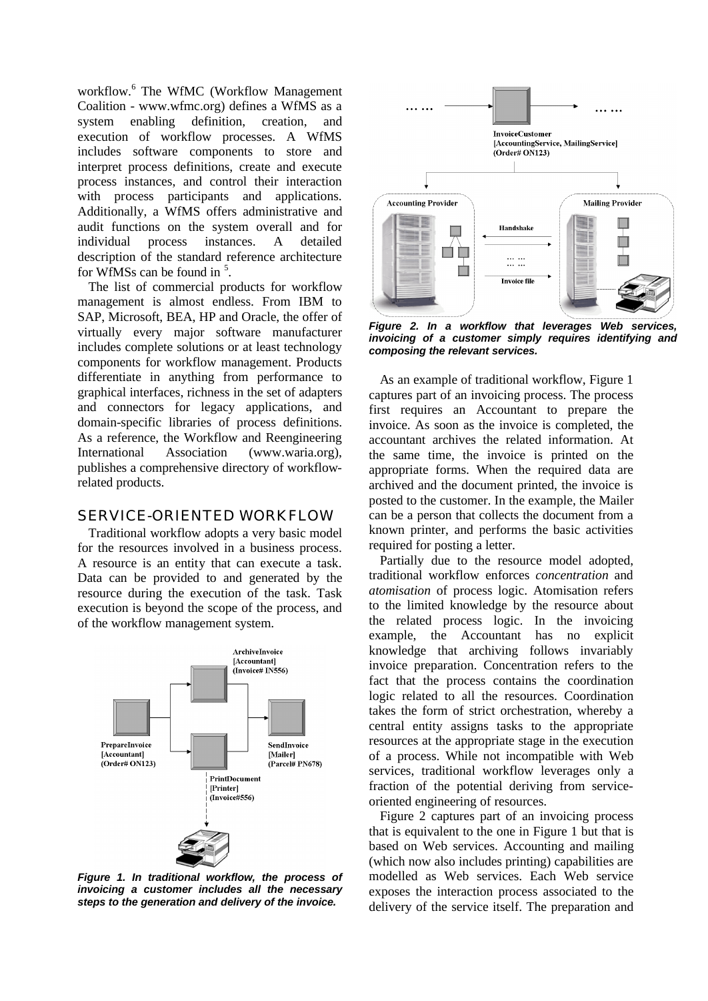workflow.<sup>6</sup> The WfMC (Workflow Management Coalition - www.wfmc.org) defines a WfMS as a system enabling definition, creation, and execution of workflow processes. A WfMS includes software components to store and interpret process definitions, create and execute process instances, and control their interaction with process participants and applications. Additionally, a WfMS offers administrative and audit functions on the system overall and for individual process instances. A detailed description of the standard reference architecture for WfMSs can be found in  $5$ .

The list of commercial products for workflow management is almost endless. From IBM to SAP, Microsoft, BEA, HP and Oracle, the offer of virtually every major software manufacturer includes complete solutions or at least technology components for workflow management. Products differentiate in anything from performance to graphical interfaces, richness in the set of adapters and connectors for legacy applications, and domain-specific libraries of process definitions. As a reference, the Workflow and Reengineering International Association (www.waria.org), publishes a comprehensive directory of workflowrelated products.

## SERVICE-ORIENTED WORKFLOW

Traditional workflow adopts a very basic model for the resources involved in a business process. A resource is an entity that can execute a task. Data can be provided to and generated by the resource during the execution of the task. Task execution is beyond the scope of the process, and of the workflow management system.



*Figure 1. In traditional workflow, the process of invoicing a customer includes all the necessary steps to the generation and delivery of the invoice.* 



*Figure 2. In a workflow that leverages Web services, invoicing of a customer simply requires identifying and composing the relevant services.* 

As an example of traditional workflow, Figure 1 captures part of an invoicing process. The process first requires an Accountant to prepare the invoice. As soon as the invoice is completed, the accountant archives the related information. At the same time, the invoice is printed on the appropriate forms. When the required data are archived and the document printed, the invoice is posted to the customer. In the example, the Mailer can be a person that collects the document from a known printer, and performs the basic activities required for posting a letter.

Partially due to the resource model adopted, traditional workflow enforces *concentration* and *atomisation* of process logic. Atomisation refers to the limited knowledge by the resource about the related process logic. In the invoicing example, the Accountant has no explicit knowledge that archiving follows invariably invoice preparation. Concentration refers to the fact that the process contains the coordination logic related to all the resources. Coordination takes the form of strict orchestration, whereby a central entity assigns tasks to the appropriate resources at the appropriate stage in the execution of a process. While not incompatible with Web services, traditional workflow leverages only a fraction of the potential deriving from serviceoriented engineering of resources.

Figure 2 captures part of an invoicing process that is equivalent to the one in Figure 1 but that is based on Web services. Accounting and mailing (which now also includes printing) capabilities are modelled as Web services. Each Web service exposes the interaction process associated to the delivery of the service itself. The preparation and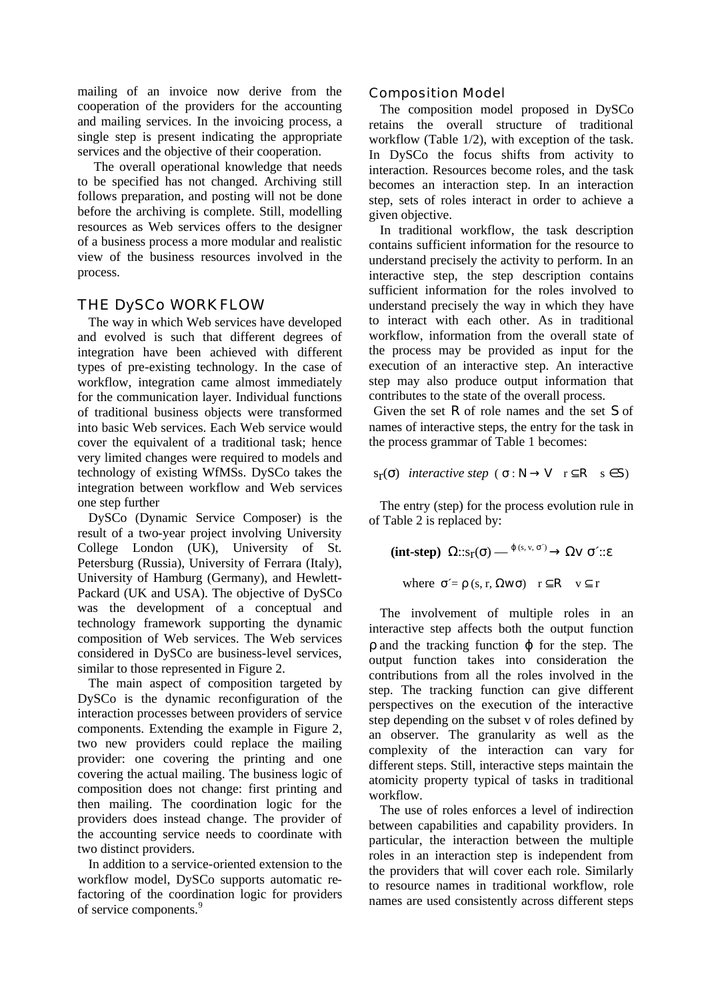mailing of an invoice now derive from the cooperation of the providers for the accounting and mailing services. In the invoicing process, a single step is present indicating the appropriate services and the objective of their cooperation.

 The overall operational knowledge that needs to be specified has not changed. Archiving still follows preparation, and posting will not be done before the archiving is complete. Still, modelling resources as Web services offers to the designer of a business process a more modular and realistic view of the business resources involved in the process.

## THE DySCo WORKFLOW

The way in which Web services have developed and evolved is such that different degrees of integration have been achieved with different types of pre-existing technology. In the case of workflow, integration came almost immediately for the communication layer. Individual functions of traditional business objects were transformed into basic Web services. Each Web service would cover the equivalent of a traditional task; hence very limited changes were required to models and technology of existing WfMSs. DySCo takes the integration between workflow and Web services one step further

DySCo (Dynamic Service Composer) is the result of a two-year project involving University College London (UK), University of St. Petersburg (Russia), University of Ferrara (Italy), University of Hamburg (Germany), and Hewlett-Packard (UK and USA). The objective of DySCo was the development of a conceptual and technology framework supporting the dynamic composition of Web services. The Web services considered in DySCo are business-level services, similar to those represented in Figure 2.

The main aspect of composition targeted by DySCo is the dynamic reconfiguration of the interaction processes between providers of service components. Extending the example in Figure 2, two new providers could replace the mailing provider: one covering the printing and one covering the actual mailing. The business logic of composition does not change: first printing and then mailing. The coordination logic for the providers does instead change. The provider of the accounting service needs to coordinate with two distinct providers.

In addition to a service-oriented extension to the workflow model, DySCo supports automatic refactoring of the coordination logic for providers of service components.<sup>9</sup>

## Composition Model

The composition model proposed in DySCo retains the overall structure of traditional workflow (Table 1/2), with exception of the task. In DySCo the focus shifts from activity to interaction. Resources become roles, and the task becomes an interaction step. In an interaction step, sets of roles interact in order to achieve a given objective.

In traditional workflow, the task description contains sufficient information for the resource to understand precisely the activity to perform. In an interactive step, the step description contains sufficient information for the roles involved to understand precisely the way in which they have to interact with each other. As in traditional workflow, information from the overall state of the process may be provided as input for the execution of an interactive step. An interactive step may also produce output information that contributes to the state of the overall process.

 Given the set *R* of role names and the set *S* of names of interactive steps, the entry for the task in the process grammar of Table 1 becomes:

 $s_{\text{r}}(\sigma)$  *interactive step* ( $\sigma : \mathbb{N} \to \mathbb{V}$   $r \subseteq \mathbb{R}$   $s \in \mathbb{S}$ )

The entry (step) for the process evolution rule in of Table 2 is replaced by:

**(int-step)**  $\Omega$ ::s<sub>r</sub>( $\sigma$ ) —  $\theta$ <sup>(s, v,  $\sigma$ <sup>)</sup>  $\rightarrow$   $\Omega \vee \sigma$ <sup>2</sup>::ε</sup>

where  $\sigma' = \rho$  (s, r,  $\Omega w \sigma$ )  $r \subseteq R$  v  $\subseteq r$ 

The involvement of multiple roles in an interactive step affects both the output function  $\rho$  and the tracking function  $\varphi$  for the step. The output function takes into consideration the contributions from all the roles involved in the step. The tracking function can give different perspectives on the execution of the interactive step depending on the subset v of roles defined by an observer. The granularity as well as the complexity of the interaction can vary for different steps. Still, interactive steps maintain the atomicity property typical of tasks in traditional workflow.

The use of roles enforces a level of indirection between capabilities and capability providers. In particular, the interaction between the multiple roles in an interaction step is independent from the providers that will cover each role. Similarly to resource names in traditional workflow, role names are used consistently across different steps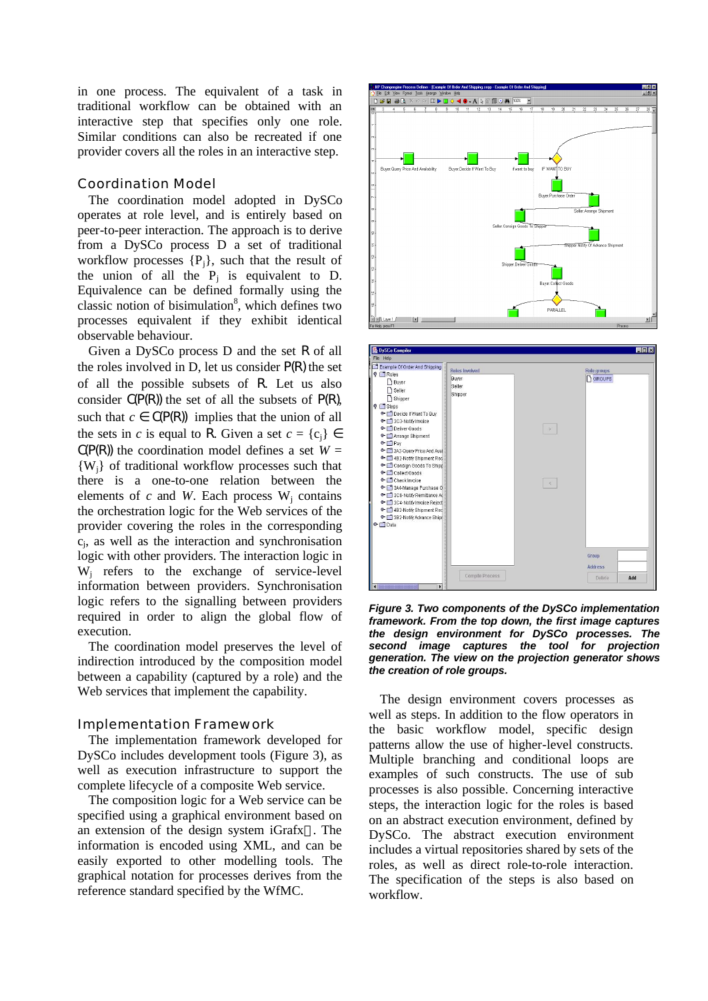in one process. The equivalent of a task in traditional workflow can be obtained with an interactive step that specifies only one role. Similar conditions can also be recreated if one provider covers all the roles in an interactive step.

#### Coordination Model

The coordination model adopted in DySCo operates at role level, and is entirely based on peer-to-peer interaction. The approach is to derive from a DySCo process D a set of traditional workflow processes  $\{P_i\}$ , such that the result of the union of all the  $P_j$  is equivalent to D. Equivalence can be defined formally using the classic notion of bisimulation<sup>8</sup>, which defines two processes equivalent if they exhibit identical observable behaviour.

Given a DySCo process D and the set *R* of all the roles involved in D, let us consider *P(R)* the set of all the possible subsets of *R*. Let us also consider *C(P(R))* the set of all the subsets of *P(R)*, such that  $c \in C(P(R))$  implies that the union of all the sets in *c* is equal to R. Given a set  $c = \{c_i\} \in$  $C(P(R))$  the coordination model defines a set  $W =$ {Wj} of traditional workflow processes such that there is a one-to-one relation between the elements of  $c$  and  $W$ . Each process  $W_j$  contains the orchestration logic for the Web services of the provider covering the roles in the corresponding cj , as well as the interaction and synchronisation logic with other providers. The interaction logic in  $W_j$  refers to the exchange of service-level information between providers. Synchronisation logic refers to the signalling between providers required in order to align the global flow of execution.

The coordination model preserves the level of indirection introduced by the composition model between a capability (captured by a role) and the Web services that implement the capability.

#### Implementation Framework

The implementation framework developed for DySCo includes development tools (Figure 3), as well as execution infrastructure to support the complete lifecycle of a composite Web service.

The composition logic for a Web service can be specified using a graphical environment based on an extension of the design system iGrafx<sup> $\text{m}$ </sup>. The information is encoded using XML, and can be easily exported to other modelling tools. The graphical notation for processes derives from the reference standard specified by the WfMC.





*Figure 3. Two components of the DySCo implementation framework. From the top down, the first image captures the design environment for DySCo processes. The second image captures the tool for projection generation. The view on the projection generator shows the creation of role groups.* 

The design environment covers processes as well as steps. In addition to the flow operators in the basic workflow model, specific design patterns allow the use of higher-level constructs. Multiple branching and conditional loops are examples of such constructs. The use of sub processes is also possible. Concerning interactive steps, the interaction logic for the roles is based on an abstract execution environment, defined by DySCo. The abstract execution environment includes a virtual repositories shared by sets of the roles, as well as direct role-to-role interaction. The specification of the steps is also based on workflow.